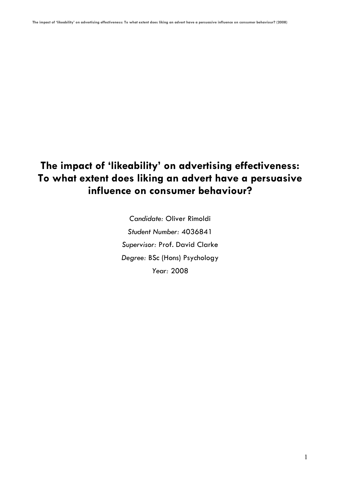# **The impact of 'likeability' on advertising effectiveness: To what extent does liking an advert have a persuasive influence on consumer behaviour?**

*Candidate:* Oliver Rimoldi *Student Number:* 4036841 *Supervisor:* Prof. David Clarke *Degree:* BSc (Hons) Psychology *Year:* 2008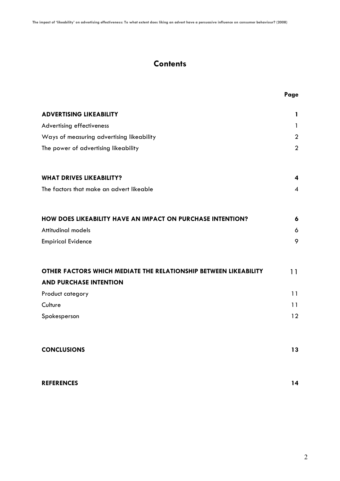## **Contents**

|                                                                  | Page           |
|------------------------------------------------------------------|----------------|
| <b>ADVERTISING LIKEABILITY</b>                                   | 1              |
| Advertising effectiveness                                        | $\mathbf{1}$   |
| Ways of measuring advertising likeability                        | $\overline{2}$ |
| The power of advertising likeability                             | $\overline{2}$ |
| <b>WHAT DRIVES LIKEABILITY?</b>                                  | 4              |
| The factors that make an advert likeable                         | $\overline{4}$ |
| HOW DOES LIKEABILITY HAVE AN IMPACT ON PURCHASE INTENTION?       | 6              |
| <b>Attitudinal models</b>                                        | 6              |
| <b>Empirical Evidence</b>                                        | 9              |
| OTHER FACTORS WHICH MEDIATE THE RELATIONSHIP BETWEEN LIKEABILITY | 11             |
| <b>AND PURCHASE INTENTION</b>                                    |                |
| Product category                                                 | 11             |
| Culture                                                          | 11             |
| Spokesperson                                                     | 12             |
| <b>CONCLUSIONS</b>                                               | 13             |
| <b>REFERENCES</b>                                                | 14             |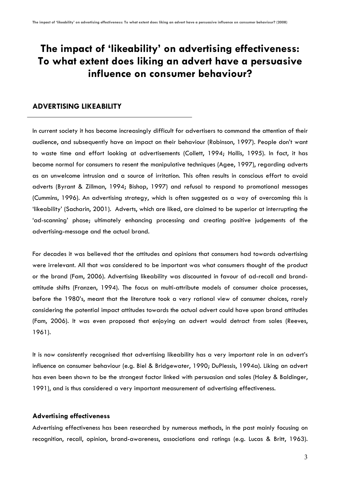# **The impact of 'likeability' on advertising effectiveness: To what extent does liking an advert have a persuasive influence on consumer behaviour?**

## **ADVERTISING LIKEABILITY**

In current society it has become increasingly difficult for advertisers to command the attention of their audience, and subsequently have an impact on their behaviour (Robinson, 1997). People don't want to waste time and effort looking at advertisements (Collett, 1994; Hollis, 1995). In fact, it has become normal for consumers to resent the manipulative techniques (Agee, 1997), regarding adverts as an unwelcome intrusion and a source of irritation. This often results in conscious effort to avoid adverts (Byrant & Zillman, 1994; Bishop, 1997) and refusal to respond to promotional messages (Cummins, 1996). An advertising strategy, which is often suggested as a way of overcoming this is 'likeability' (Sacharin, 2001). Adverts, which are liked, are claimed to be superior at interrupting the 'ad-scanning' phase; ultimately enhancing processing and creating positive judgements of the advertising-message and the actual brand.

For decades it was believed that the attitudes and opinions that consumers had towards advertising were irrelevant. All that was considered to be important was what consumers thought of the product or the brand (Fam, 2006). Advertising likeability was discounted in favour of ad-recall and brandattitude shifts (Franzen, 1994). The focus on multi-attribute models of consumer choice processes, before the 1980's, meant that the literature took a very rational view of consumer choices, rarely considering the potential impact attitudes towards the actual advert could have upon brand attitudes (Fam, 2006). It was even proposed that enjoying an advert would detract from sales (Reeves, 1961).

It is now consistently recognised that advertising likeability has a very important role in an advert's influence on consumer behaviour (e.g. Biel & Bridgewater, 1990; DuPlessis, 1994a). Liking an advert has even been shown to be the strongest factor linked with persuasion and sales (Haley & Baldinger, 1991), and is thus considered a very important measurement of advertising effectiveness.

#### **Advertising effectiveness**

Advertising effectiveness has been researched by numerous methods, in the past mainly focusing on recognition, recall, opinion, brand-awareness, associations and ratings (e.g. Lucas & Britt, 1963).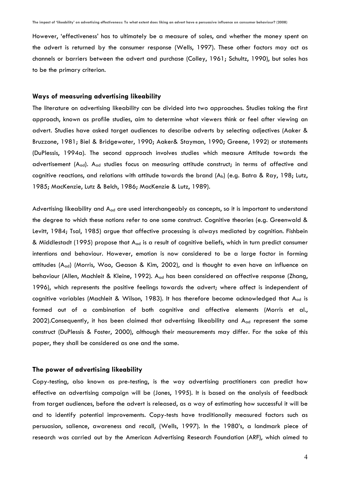However, 'effectiveness' has to ultimately be a measure of sales, and whether the money spent on the advert is returned by the consumer response (Wells, 1997). These other factors may act as channels or barriers between the advert and purchase (Colley, 1961; Schultz, 1990), but sales has to be the primary criterion.

#### **Ways of measuring advertising likeability**

The literature on advertising likeability can be divided into two approaches. Studies taking the first approach, known as profile studies, aim to determine what viewers think or feel after viewing an advert. Studies have asked target audiences to describe adverts by selecting adjectives (Aaker & Bruzzone, 1981; Biel & Bridgewater, 1990; Aaker& Stayman, 1990; Greene, 1992) or statements (DuPlessis, 1994a). The second approach involves studies which measure Attitude towards the advertisement (A<sub>ad</sub>). A<sub>ad</sub> studies focus on measuring attitude construct; in terms of affective and cognitive reactions, and relations with attitude towards the brand  $(A_b)$  (e.g. Batra & Ray, 198; Lutz, 1985; MacKenzie, Lutz & Belch, 1986; MacKenzie & Lutz, 1989).

Advertising likeability and A<sub>ad</sub> are used interchangeably as concepts, so it is important to understand the degree to which these notions refer to one same construct. Cognitive theories (e.g. Greenwald & Levitt, 1984; Tsal, 1985) argue that affective processing is always mediated by cognition. Fishbein & Middlestadt (1995) propose that  $A_{\text{ad}}$  is a result of cognitive beliefs, which in turn predict consumer intentions and behaviour. However, emotion is now considered to be a large factor in forming attitudes (A<sub>ad</sub>) (Morris, Woo, Geason & Kim, 2002), and is thought to even have an influence on behaviour (Allen, Machleit & Kleine, 1992). A<sub>ad</sub> has been considered an affective response (Zhang, 1996), which represents the positive feelings towards the advert; where affect is independent of cognitive variables (Machleit & Wilson, 1983). It has therefore become acknowledged that A<sub>ad</sub> is formed out of a combination of both cognitive and affective elements (Morris et al., 2002).Consequently, it has been claimed that advertising likeability and  $A_{\alpha d}$  represent the same construct (DuPlessis & Foster, 2000), although their measurements may differ. For the sake of this paper, they shall be considered as one and the same.

#### **The power of advertising likeability**

Copy-testing, also known as pre-testing, is the way advertising practitioners can predict how effective an advertising campaign will be (Jones, 1995). It is based on the analysis of feedback from target audiences, before the advert is released, as a way of estimating how successful it will be and to identify potential improvements. Copy-tests have traditionally measured factors such as persuasion, salience, awareness and recall, (Wells, 1997). In the 1980's, a landmark piece of research was carried out by the American Advertising Research Foundation (ARF), which aimed to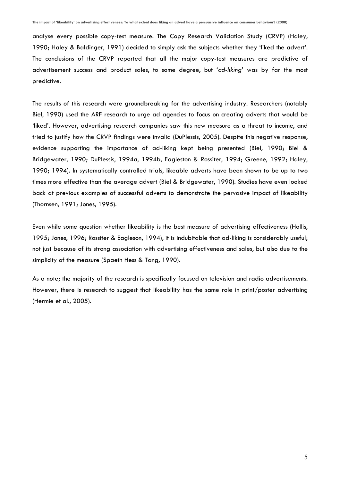analyse every possible copy-test measure. The Copy Research Validation Study (CRVP) (Haley, 1990; Haley & Baldinger, 1991) decided to simply ask the subjects whether they 'liked the advert'. The conclusions of the CRVP reported that all the major copy-test measures are predictive of advertisement success and product sales, to some degree, but *'ad-liking'* was by far the most predictive.

The results of this research were groundbreaking for the advertising industry. Researchers (notably Biel, 1990) used the ARF research to urge ad agencies to focus on creating adverts that would be 'liked'. However, advertising research companies saw this new measure as a threat to income, and tried to justify how the CRVP findings were invalid (DuPlessis, 2005). Despite this negative response, evidence supporting the importance of ad-liking kept being presented (Biel, 1990; Biel & Bridgewater, 1990; DuPlessis, 1994a, 1994b, Eagleston & Rossiter, 1994; Greene, 1992; Haley, 1990; 1994). In systematically controlled trials, likeable adverts have been shown to be up to two times more effective than the average advert (Biel & Bridgewater, 1990). Studies have even looked back at previous examples of successful adverts to demonstrate the pervasive impact of likeability (Thornsen, 1991; Jones, 1995).

Even while some question whether likeability is the best measure of advertising effectiveness (Hollis, 1995; Jones, 1996; Rossiter & Eagleson, 1994), it is indubitable that ad-liking is considerably useful; not just because of its strong association with advertising effectiveness and sales, but also due to the simplicity of the measure (Spaeth Hess & Tang, 1990).

As a note; the majority of the research is specifically focused on television and radio advertisements. However, there is research to suggest that likeability has the same role in print/poster advertising (Hermie et al., 2005).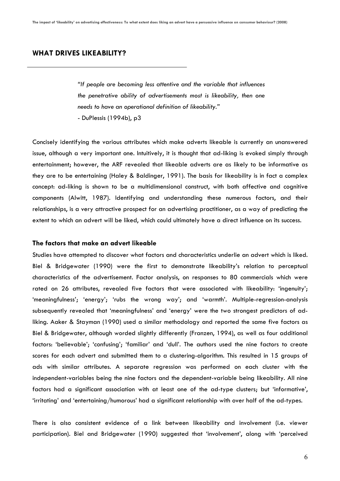## **WHAT DRIVES LIKEABILITY?**

*"If people are becoming less attentive and the variable that influences the penetrative ability of advertisements most is likeability, then one needs to have an operational definition of likeability."*

- DuPlessis (1994b), p3

Concisely identifying the various attributes which make adverts likeable is currently an unanswered issue, although a very important one. Intuitively, it is thought that ad-liking is evoked simply through entertainment; however, the ARF revealed that likeable adverts are as likely to be informative as they are to be entertaining (Haley & Baldinger, 1991). The basis for likeability is in fact a complex concept: ad-liking is shown to be a multidimensional construct, with both affective and cognitive components (Alwitt, 1987). Identifying and understanding these numerous factors, and their relationships, is a very attractive prospect for an advertising practitioner, as a way of predicting the extent to which an advert will be liked, which could ultimately have a direct influence on its success.

#### **The factors that make an advert likeable**

Studies have attempted to discover what factors and characteristics underlie an advert which is liked. Biel & Bridgewater (1990) were the first to demonstrate likeability's relation to perceptual characteristics of the advertisement. Factor analysis, on responses to 80 commercials which were rated on 26 attributes, revealed five factors that were associated with likeability: 'ingenuity'; 'meaningfulness'; 'energy'; 'rubs the wrong way'; and 'warmth'. Multiple-regression-analysis subsequently revealed that 'meaningfulness' and 'energy' were the two strongest predictors of adliking. Aaker & Stayman (1990) used a similar methodology and reported the same five factors as Biel & Bridgewater, although worded slightly differently (Franzen, 1994), as well as four additional factors: 'believable'; 'confusing'; 'familiar' and 'dull'. The authors used the nine factors to create scores for each advert and submitted them to a clustering-algorithm. This resulted in 15 groups of ads with similar attributes. A separate regression was performed on each cluster with the independent-variables being the nine factors and the dependent-variable being likeability. All nine factors had a significant association with at least one of the ad-type clusters; but 'informative', 'irritating' and 'entertaining/humorous' had a significant relationship with over half of the ad-types.

There is also consistent evidence of a link between likeability and involvement (i.e. viewer participation). Biel and Bridgewater (1990) suggested that 'involvement', along with 'perceived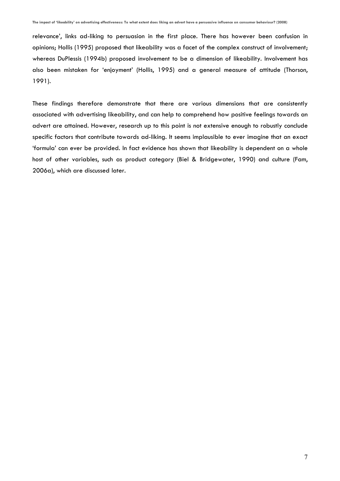relevance', links ad-liking to persuasion in the first place. There has however been confusion in opinions; Hollis (1995) proposed that likeability was a facet of the complex construct of involvement; whereas DuPlessis (1994b) proposed involvement to be a dimension of likeability. Involvement has also been mistaken for 'enjoyment' (Hollis, 1995) and a general measure of attitude (Thorson, 1991).

These findings therefore demonstrate that there are various dimensions that are consistently associated with advertising likeability, and can help to comprehend how positive feelings towards an advert are attained. However, research up to this point is not extensive enough to robustly conclude specific factors that contribute towards ad-liking. It seems implausible to ever imagine that an exact 'formula' can ever be provided. In fact evidence has shown that likeability is dependent on a whole host of other variables, such as product category (Biel & Bridgewater, 1990) and culture (Fam, 2006a), which are discussed later.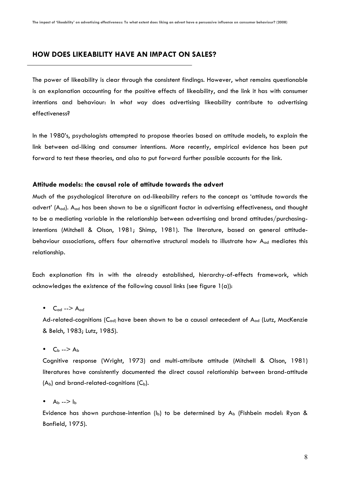## **HOW DOES LIKEABILITY HAVE AN IMPACT ON SALES?**

The power of likeability is clear through the consistent findings. However, what remains questionable is an explanation accounting for the positive effects of likeability, and the link it has with consumer intentions and behaviour: In *what way* does advertising likeability contribute to advertising effectiveness?

In the 1980's, psychologists attempted to propose theories based on attitude models, to explain the link between ad-liking and consumer intentions. More recently, empirical evidence has been put forward to test these theories, and also to put forward further possible accounts for the link.

#### **Attitude models: the causal role of attitude towards the advert**

Much of the psychological literature on ad-likeability refers to the concept as 'attitude towards the advert' ( $A_{ad}$ ).  $A_{ad}$  has been shown to be a significant factor in advertising effectiveness, and thought to be a mediating variable in the relationship between advertising and brand attitudes/purchasingintentions (Mitchell & Olson, 1981; Shimp, 1981). The literature, based on general attitudebehaviour associations, offers four alternative structural models to illustrate how A<sub>ad</sub> mediates this relationship.

Each explanation fits in with the already established, hierarchy-of-effects framework, which acknowledges the existence of the following causal links (see figure 1(a)):

•  $C_{\alpha d}$  -->  $A_{\alpha d}$ 

Ad-related-cognitions ( $C_{\alpha d}$ ) have been shown to be a causal antecedent of A<sub>ad</sub> (Lutz, MacKenzie & Belch, 1983; Lutz, 1985).

•  $C_h \rightarrow A_h$ 

Cognitive response (Wright, 1973) and multi-attribute attitude (Mitchell & Olson, 1981) literatures have consistently documented the direct causal relationship between brand-attitude  $(A_b)$  and brand-related-cognitions  $(C_b)$ .

•  $A_b$  -->  $I_b$ 

Evidence has shown purchase-intention ( $I_b$ ) to be determined by  $A_b$  (Fishbein model: Ryan & Bonfield, 1975).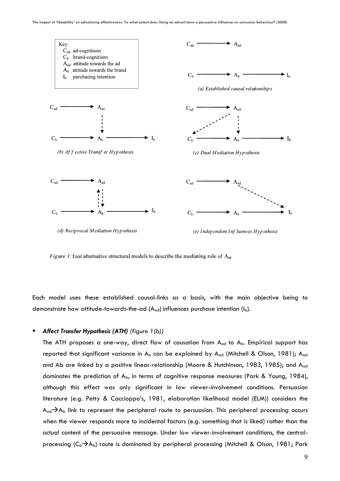

*Figure 1:* four alternative structural models to describe the mediating role of  $A_{ad}$ 

Each model uses these established causal-links as a basis, with the main objective being to demonstrate how attitude-towards-the-ad  $(A_{ad})$  influences purchase intention  $(I_b)$ .

#### *Affect Transfer Hypothesis (ATH) (figure 1(b))*

The ATH proposes a one-way, direct flow of causation from  $A_{ad}$  to  $A_b$ . Empirical support has reported that significant variance in  $A<sub>b</sub>$  can be explained by  $A<sub>ad</sub>$  (Mitchell & Olson, 1981);  $A<sub>ad</sub>$ and Ab are linked by a positive linear-relationship (Moore & Hutchinson, 1983, 1985); and Add dominates the prediction of Ab, in terms of cognitive response measures (Park & Young, 1984), although this effect was only significant in low viewer-involvement conditions. Persuasion literature (e.g. Petty & Caccioppo's, 1981, elaboration likelihood model (ELM)) considers the  $A_{\alpha d}$   $\rightarrow$  A<sub>b</sub> link to represent the peripheral route to persuasion. This peripheral processing occurs when the viewer responds more to incidental factors (e.g. something that is liked) rather than the actual content of the persuasive message. Under low viewer-involvement conditions, the centralprocessing  $(C_b\rightarrow A_b)$  route is dominated by peripheral processing (Mitchell & Olson, 1981; Park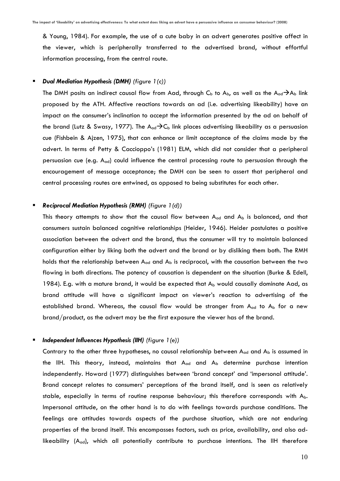& Young, 1984). For example, the use of a cute baby in an advert generates positive affect in the viewer, which is peripherally transferred to the advertised brand, without effortful information processing, from the central route.

#### *Dual Mediation Hypothesis (DMH) (figure 1(c))*

The DMH posits an indirect causal flow from Aad, through  $C_b$  to A<sub>b</sub>, as well as the A<sub>ad</sub> $\rightarrow$ A<sub>b</sub> link proposed by the ATH. Affective reactions towards an ad (i.e. advertising likeability) have an impact on the consumer's inclination to accept the information presented by the ad on behalf of the brand (Lutz & Swasy, 1977). The A<sub>ad</sub> $\rightarrow$ C<sub>b</sub> link places advertising likeability as a persuasion cue (Fishbein & Ajzen, 1975), that can enhance or limit acceptance of the claims made by the advert. In terms of Petty & Caccioppo's (1981) ELM, which did not consider that a peripheral persuasion cue (e.g.  $A_{\text{ad}}$ ) could influence the central processing route to persuasion through the encouragement of message acceptance; the DMH can be seen to assert that peripheral and central processing routes are entwined, as opposed to being substitutes for each other.

#### *Reciprocal Mediation Hypothesis (RMH) (figure 1(d))*

This theory attempts to show that the causal flow between  $A_{ad}$  and  $A_b$  is balanced, and that consumers sustain balanced cognitive relationships (Heider, 1946). Heider postulates a positive association between the advert and the brand, thus the consumer will try to maintain balanced configuration either by liking both the advert and the brand or by disliking them both. The RMH holds that the relationship between  $A_{ad}$  and  $A_b$  is reciprocal, with the causation between the two flowing in both directions. The potency of causation is dependent on the situation (Burke & Edell, 1984). E.g. with a mature brand, it would be expected that  $A<sub>b</sub>$  would causally dominate Aad, as brand attitude will have a significant impact on viewer's reaction to advertising of the established brand. Whereas, the causal flow would be stronger from  $A_{ad}$  to  $A_b$  for a new brand/product, as the advert may be the first exposure the viewer has of the brand.

#### *Independent Influences Hypothesis (IIH) (figure 1(e))*

Contrary to the other three hypotheses, no causal relationship between  $A_{ad}$  and  $A_b$  is assumed in the IIH. This theory, instead, maintains that A<sub>ad</sub> and A<sub>b</sub> determine purchase intention independently. Howard (1977) distinguishes between 'brand concept' and 'impersonal attitude'. Brand concept relates to consumers' perceptions of the brand itself, and is seen as relatively stable, especially in terms of routine response behaviour; this therefore corresponds with Ab. Impersonal attitude, on the other hand is to do with feelings towards purchase conditions. The feelings are attitudes towards aspects of the purchase situation, which are not enduring properties of the brand itself. This encompasses factors, such as price, availability, and also adlikeability (A<sub>ad</sub>), which all potentially contribute to purchase intentions. The IIH therefore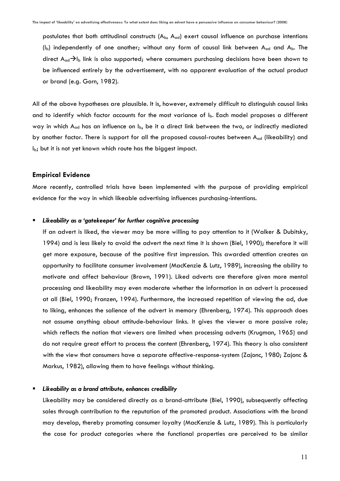postulates that both attitudinal constructs  $(A_b, A_{ad})$  exert causal influence on purchase intentions  $(I_{\rm b})$  independently of one another; without any form of causal link between  $A_{\rm od}$  and  $A_{\rm b}$ . The direct  $A_{ad}$ )<sub>b</sub> link is also supported; where consumers purchasing decisions have been shown to be influenced entirely by the advertisement, with no apparent evaluation of the actual product or brand (e.g. Gorn, 1982).

All of the above hypotheses are plausible. It is, however, extremely difficult to distinguish causal links and to identify which factor accounts for the most variance of I<sub>b</sub>. Each model proposes a different way in which  $A_{ad}$  has an influence on  $I_b$ , be it a direct link between the two, or indirectly mediated by another factor. There is support for all the proposed causal-routes between  $A_{ad}$  (likeability) and Ib; but it is not yet known which route has the biggest impact.

#### **Empirical Evidence**

More recently, controlled trials have been implemented with the purpose of providing empirical evidence for the way in which likeable advertising influences purchasing-intentions.

#### *Likeability as a 'gatekeeper' for further cognitive processing*

If an advert is liked, the viewer may be more willing to pay attention to it (Walker & Dubitsky, 1994) and is less likely to avoid the advert the next time it is shown (Biel, 1990); therefore it will get more exposure, because of the positive first impression. This awarded attention creates an opportunity to facilitate consumer involvement (MacKenzie & Lutz, 1989), increasing the ability to motivate and affect behaviour (Brown, 1991). Liked adverts are therefore given more mental processing and likeability may even moderate whether the information in an advert is processed at all (Biel, 1990; Franzen, 1994). Furthermore, the increased repetition of viewing the ad, due to liking, enhances the salience of the advert in memory (Ehrenberg, 1974). This approach does not assume anything about attitude-behaviour links. It gives the viewer a more passive role; which reflects the notion that viewers are limited when processing adverts (Krugman, 1965) and do not require great effort to process the content (Ehrenberg, 1974). This theory is also consistent with the view that consumers have a separate affective-response-system (Zajonc, 1980; Zajonc & Markus, 1982), allowing them to have feelings without thinking.

#### *Likeability as a brand attribute, enhances credibility*

Likeability may be considered directly as a brand-attribute (Biel, 1990), subsequently affecting sales through contribution to the reputation of the promoted product. Associations with the brand may develop, thereby promoting consumer loyalty (MacKenzie & Lutz, 1989). This is particularly the case for product categories where the functional properties are perceived to be similar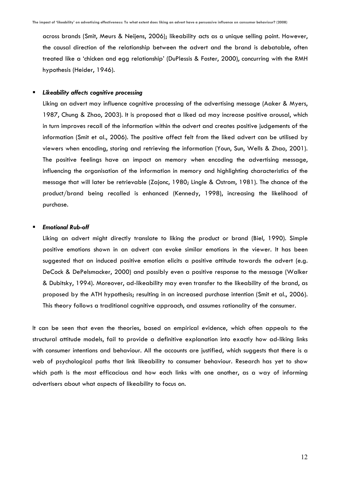across brands (Smit, Meurs & Neijens, 2006); likeability acts as a unique selling point. However, the causal direction of the relationship between the advert and the brand is debatable, often treated like a 'chicken and egg relationship' (DuPlessis & Foster, 2000), concurring with the RMH hypothesis (Heider, 1946).

#### *Likeability affects cognitive processing*

Liking an advert may influence cognitive processing of the advertising message (Aaker & Myers, 1987, Chung & Zhao, 2003). It is proposed that a liked ad may increase positive arousal, which in turn improves recall of the information within the advert and creates positive judgements of the information (Smit et al., 2006). The positive affect felt from the liked advert can be utilised by viewers when encoding, storing and retrieving the information (Youn, Sun, Wells & Zhao, 2001). The positive feelings have an impact on memory when encoding the advertising message, influencing the organisation of the information in memory and highlighting characteristics of the message that will later be retrievable (Zajonc, 1980; Lingle & Ostrom, 1981). The chance of the product/brand being recalled is enhanced (Kennedy, 1998), increasing the likelihood of purchase.

#### *Emotional Rub-off*

Liking an advert might directly translate to liking the product or brand (Biel, 1990). Simple positive emotions shown in an advert can evoke similar emotions in the viewer. It has been suggested that an induced positive emotion elicits a positive attitude towards the advert (e.g. DeCock & DePelsmacker, 2000) and possibly even a positive response to the message (Walker & Dubitsky, 1994). Moreover, ad-likeability may even transfer to the likeability of the brand, as proposed by the ATH hypothesis; resulting in an increased purchase intention (Smit et al., 2006). This theory follows a traditional cognitive approach, and assumes rationality of the consumer.

It can be seen that even the theories, based on empirical evidence, which often appeals to the structural attitude models, fail to provide a definitive explanation into exactly how ad-liking links with consumer intentions and behaviour. All the accounts are justified, which suggests that there is a web of psychological paths that link likeability to consumer behaviour. Research has yet to show which path is the most efficacious and how each links with one another, as a way of informing advertisers about what aspects of likeability to focus on.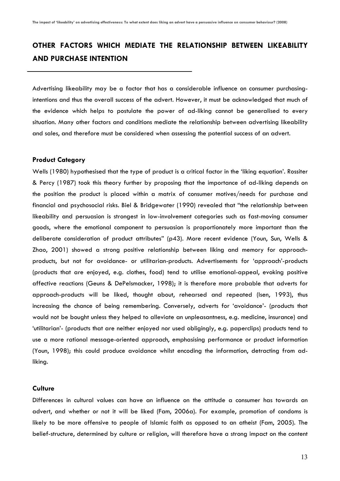## **OTHER FACTORS WHICH MEDIATE THE RELATIONSHIP BETWEEN LIKEABILITY AND PURCHASE INTENTION**

Advertising likeability may be a factor that has a considerable influence on consumer purchasingintentions and thus the overall success of the advert. However, it must be acknowledged that much of the evidence which helps to postulate the power of ad-liking cannot be generalised to every situation. Many other factors and conditions mediate the relationship between advertising likeability and sales, and therefore must be considered when assessing the potential success of an advert.

### **Product Category**

Wells (1980) hypothesised that the type of product is a critical factor in the 'liking equation'. Rossiter & Percy (1987) took this theory further by proposing that the importance of ad-liking depends on the position the product is placed within a matrix of consumer motives/needs for purchase and financial and psychosocial risks. Biel & Bridgewater (1990) revealed that "the relationship between likeability and persuasion is strongest in low-involvement categories such as fast-moving consumer goods, where the emotional component to persuasion is proportionately more important than the deliberate consideration of product attributes" (p43). More recent evidence (Youn, Sun, Wells & Zhao, 2001) showed a strong positive relationship between liking and memory for approachproducts, but not for avoidance- or utilitarian-products. Advertisements for 'approach'-products (products that are enjoyed, e.g. clothes, food) tend to utilise emotional-appeal, evoking positive affective reactions (Geuns & DePelsmacker, 1998); it is therefore more probable that adverts for approach-products will be liked, thought about, rehearsed and repeated (Isen, 1993), thus increasing the chance of being remembering. Conversely, adverts for 'avoidance'- (products that would not be bought unless they helped to alleviate an unpleasantness, e.g. medicine, insurance) and 'utilitarian'- (products that are neither enjoyed nor used obligingly, e.g. paperclips) products tend to use a more rational message-oriented approach, emphasising performance or product information (Youn, 1998); this could produce avoidance whilst encoding the information, detracting from adliking.

### **Culture**

Differences in cultural values can have an influence on the attitude a consumer has towards an advert, and whether or not it will be liked (Fam, 2006a). For example, promotion of condoms is likely to be more offensive to people of Islamic faith as opposed to an atheist (Fam, 2005). The belief-structure, determined by culture or religion, will therefore have a strong impact on the content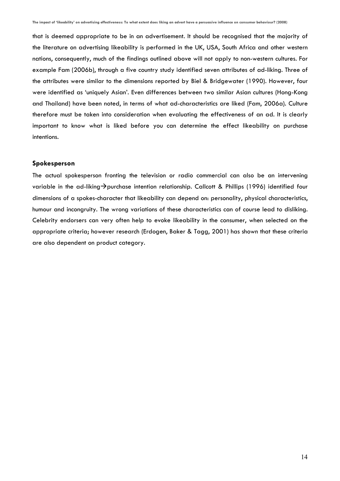that is deemed appropriate to be in an advertisement. It should be recognised that the majority of the literature on advertising likeability is performed in the UK, USA, South Africa and other western nations, consequently, much of the findings outlined above will not apply to non-western cultures. For example Fam (2006b), through a five country study identified seven attributes of ad-liking. Three of the attributes were similar to the dimensions reported by Biel & Bridgewater (1990). However, four were identified as 'uniquely Asian'. Even differences between two similar Asian cultures (Hong-Kong and Thailand) have been noted, in terms of what ad-characteristics are liked (Fam, 2006a). Culture therefore must be taken into consideration when evaluating the effectiveness of an ad. It is clearly important to know what is liked before you can determine the effect likeability on purchase intentions.

#### **Spokesperson**

The actual spokesperson fronting the television or radio commercial can also be an intervening variable in the ad-liking  $\rightarrow$  purchase intention relationship. Callcott & Phillips (1996) identified four dimensions of a spokes-character that likeability can depend on: personality, physical characteristics, humour and incongruity. The wrong variations of these characteristics can of course lead to disliking. Celebrity endorsers can very often help to evoke likeability in the consumer, when selected on the appropriate criteria; however research (Erdogen, Baker & Tagg, 2001) has shown that these criteria are also dependent on product category.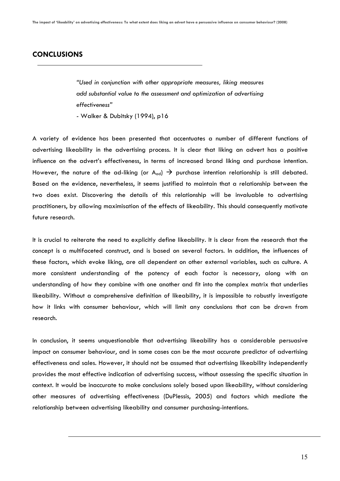## **CONCLUSIONS**

*"Used in conjunction with other appropriate measures, liking measures add substantial value to the assessment and optimization of advertising effectiveness"*

- Walker & Dubitsky (1994), p16

A variety of evidence has been presented that accentuates a number of different functions of advertising likeability in the advertising process. It is clear that liking an advert has a positive influence on the advert's effectiveness, in terms of increased brand liking and purchase intention. However, the nature of the ad-liking (or  $A_{\alpha d}$ )  $\rightarrow$  purchase intention relationship is still debated. Based on the evidence, nevertheless, it seems justified to maintain that a relationship between the two does exist. Discovering the details of this relationship will be invaluable to advertising practitioners, by allowing maximisation of the effects of likeability. This should consequently motivate future research.

It is crucial to reiterate the need to explicitly define likeability. It is clear from the research that the concept is a multifaceted construct, and is based on several factors. In addition, the influences of these factors, which evoke liking, are all dependent on other external variables, such as culture. A more consistent understanding of the potency of each factor is necessary, along with an understanding of how they combine with one another and fit into the complex matrix that underlies likeability. Without a comprehensive definition of likeability, it is impossible to robustly investigate how it links with consumer behaviour, which will limit any conclusions that can be drawn from research.

In conclusion, it seems unquestionable that advertising likeability has a considerable persuasive impact on consumer behaviour, and in some cases can be the most accurate predictor of advertising effectiveness and sales. However, it should not be assumed that advertising likeability independently provides the most effective indication of advertising success, without assessing the specific situation in context. It would be inaccurate to make conclusions solely based upon likeability, without considering other measures of advertising effectiveness (DuPlessis, 2005) and factors which mediate the relationship between advertising likeability and consumer purchasing-intentions.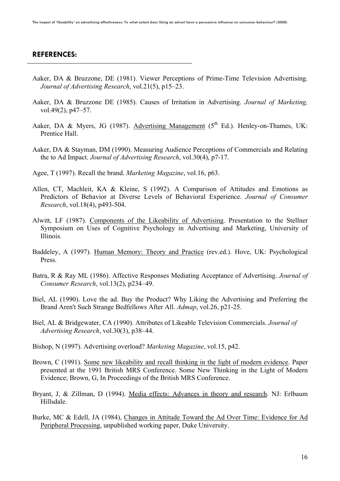## **REFERENCES:**

- Aaker, DA & Bruzzone, DE (1981). Viewer Perceptions of Prime-Time Television Advertising. *Journal of Advertising Research*, vol.21(5), p15–23.
- Aaker, DA & Bruzzone DE (1985). Causes of Irritation in Advertising. *Journal of Marketing,* vol.49(2), p47–57.
- Aaker, DA & Myers, JG (1987). Advertising Management ( $5<sup>th</sup>$  Ed.). Henley-on-Thames, UK: Prentice Hall.
- Aaker, DA & Stayman, DM (1990). Measuring Audience Perceptions of Commercials and Relating the to Ad Impact. *Journal of Advertising Research*, vol.30(4), p7-17.
- Agee, T (1997). Recall the brand. *Marketing Magazine*, vol.16, p63.
- Allen, CT, Machleit, KA & Kleine, S (1992). A Comparison of Attitudes and Emotions as Predictors of Behavior at Diverse Levels of Behavioral Experience. *Journal of Consumer Research*, vol.18(4), p493-504.
- Alwitt, LF (1987). Components of the Likeability of Advertising. Presentation to the Stellner Symposium on Uses of Cognitive Psychology in Advertising and Marketing, University of Illinois.
- Baddeley, A (1997). Human Memory: Theory and Practice (rev.ed.). Hove, UK: Psychological Press.
- Batra, R & Ray ML (1986). Affective Responses Mediating Acceptance of Advertising. *Journal of Consumer Research*, vol.13(2), p234–49.
- Biel, AL (1990). Love the ad. Buy the Product? Why Liking the Advertising and Preferring the Brand Aren't Such Strange Bedfellows After All. *Admap*, vol.26, p21-25.
- Biel, AL & Bridgewater, CA (1990). Attributes of Likeable Television Commercials. *Journal of Advertising Research*, vol.30(3), p38–44.
- Bishop, N (1997). Advertising overload? *Marketing Magazine*, vol.15, p42.
- Brown, C (1991). Some new likeability and recall thinking in the light of modern evidence. Paper presented at the 1991 British MRS Conference. Some New Thinking in the Light of Modern Evidence; Brown, G, In Proceedings of the British MRS Conference.
- Bryant, J, & Zillman, D (1994). Media effects: Advances in theory and research. NJ: Erlbaum Hillsdale.
- Burke, MC & Edell, JA (1984), Changes in Attitude Toward the Ad Over Time: Evidence for Ad Peripheral Processing, unpublished working paper, Duke University.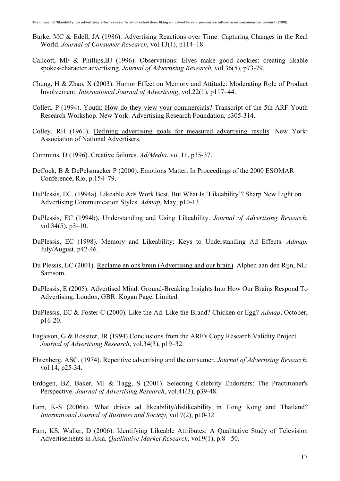- Burke, MC & Edell, JA (1986). Advertising Reactions over Time: Capturing Changes in the Real World. *Journal of Consumer Research*, vol.13(1), p114–18.
- Callcott, MF & Phillips,BJ (1996). Observations: Elves make good cookies: creating likable spokes-character advertising. *Journal of Advertising Research*, vol.36(5), p73-79.
- Chung, H & Zhao, X (2003). Humor Effect on Memory and Attitude: Moderating Role of Product Involvement. *International Journal of Advertising*, vol.22(1), p117–44.
- Collett, P (1994). Youth: How do they view your commercials? Transcript of the 5th ARF Youth Research Workshop. New York: Advertising Research Foundation, p305-314.
- Colley, RH (1961). Defining advertising goals for measured advertising results. New York: Association of National Advertisers.
- Cummins, D (1996). Creative failures. *Ad/Media*, vol.11, p35-37.
- DeCock, B & DePelsmacker P (2000). Emotions Matter. In Proceedings of the 2000 ESOMAR Conference, Rio, p.154–79.
- DuPlessis, EC. (1994a). Likeable Ads Work Best, But What Is 'Likeability'? Sharp New Light on Advertising Communication Styles. *Admap*, May, p10-13.
- DuPlessis, EC (1994b). Understanding and Using Likeability. *Journal of Advertising Research*, vol.34(5), p3-10.
- DuPlessis, EC (1998). Memory and Likeability: Keys to Understanding Ad Effects. *Admap*, July/August, p42-46.
- Du Plessis, EC (2001). Reclame en ons brein (Advertising and our brain). Alphen aan den Rijn, NL: Samsom.
- DuPlessis, E (2005). Advertised Mind: Ground-Breaking Insights Into How Our Brains Respond To Advertising. London, GBR: Kogan Page, Limited.
- DuPlessis, EC & Foster C (2000). Like the Ad. Like the Brand? Chicken or Egg? *Admap*, October, p16-20.
- Eagleson, G & Rossiter, JR (1994).Conclusions from the ARF's Copy Research Validity Project. *Journal of Advertising Research*, vol.34(3), p19–32.
- Ehrenberg, ASC. (1974). Repetitive advertising and the consumer. *Journal of Advertising Research*, vol.14, p25-34.
- Erdogen, BZ, Baker, MJ & Tagg, S (2001). Selecting Celebrity Endorsers: The Practitioner's Perspective. *Journal of Advertising Research*, vol.41(3), p39-48.
- Fam, K-S (2006a). What drives ad likeability/dislikeability in Hong Kong and Thailand? *International Journal of Business and Society,* vol.7(2), p10-32
- Fam, KS, Waller, D (2006). Identifying Likeable Attributes: A Qualitative Study of Television Advertisements in Asia. *Qualitative Market Research*, vol.9(1), p.8 - 50.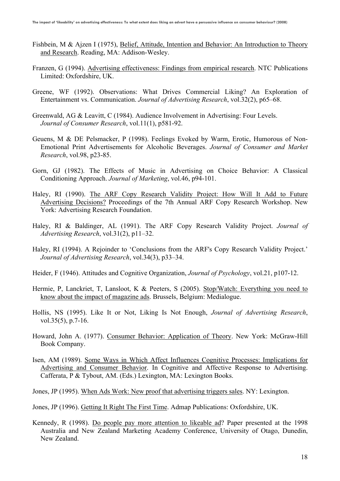- Fishbein, M & Ajzen I (1975), Belief, Attitude, Intention and Behavior: An Introduction to Theory and Research. Reading, MA: Addison-Wesley.
- Franzen, G (1994). Advertising effectiveness: Findings from empirical research. NTC Publications Limited: Oxfordshire, UK.
- Greene, WF (1992). Observations: What Drives Commercial Liking? An Exploration of Entertainment vs. Communication. *Journal of Advertising Research*, vol.32(2), p65–68.
- Greenwald, AG & Leavitt, C (1984). Audience Involvement in Advertising: Four Levels. *Journal of Consumer Research*, vol.11(1), p581-92.
- Geuens, M & DE Pelsmacker, P (1998). Feelings Evoked by Warm, Erotic, Humorous of Non-Emotional Print Advertisements for Alcoholic Beverages. *Journal of Consumer and Market Research*, vol.98, p23-85.
- Gorn, GJ (1982). The Effects of Music in Advertising on Choice Behavior: A Classical Conditioning Approach. *Journal of Marketing*, vol.46, p94-101.
- Haley, RI (1990). The ARF Copy Research Validity Project: How Will It Add to Future Advertising Decisions? Proceedings of the 7th Annual ARF Copy Research Workshop. New York: Advertising Research Foundation.
- Haley, RI & Baldinger, AL (1991). The ARF Copy Research Validity Project. *Journal of Advertising Research*, vol.31(2), p11–32.
- Haley, RI (1994). A Rejoinder to 'Conclusions from the ARF's Copy Research Validity Project.' *Journal of Advertising Research*, vol.34(3), p33–34.
- Heider, F (1946). Attitudes and Cognitive Organization, *Journal of Psychology*, vol.21, p107-12.
- Hermie, P, Lanckriet, T, Lansloot, K & Peeters, S (2005). Stop/Watch: Everything you need to know about the impact of magazine ads. Brussels, Belgium: Medialogue.
- Hollis, NS (1995). Like It or Not, Liking Is Not Enough, *Journal of Advertising Research*, vol.35(5), p.7-16.
- Howard, John A. (1977). Consumer Behavior: Application of Theory. New York: McGraw-Hill Book Company.
- Isen, AM (1989). Some Ways in Which Affect Influences Cognitive Processes: Implications for Advertising and Consumer Behavior. In Cognitive and Affective Response to Advertising. Cafferata, P & Tybout, AM. (Eds.) Lexington, MA: Lexington Books.

Jones, JP (1995). When Ads Work: New proof that advertising triggers sales. NY: Lexington.

Jones, JP (1996). Getting It Right The First Time. Admap Publications: Oxfordshire, UK.

Kennedy, R (1998). Do people pay more attention to likeable ad? Paper presented at the 1998 Australia and New Zealand Marketing Academy Conference, University of Otago, Dunedin, New Zealand.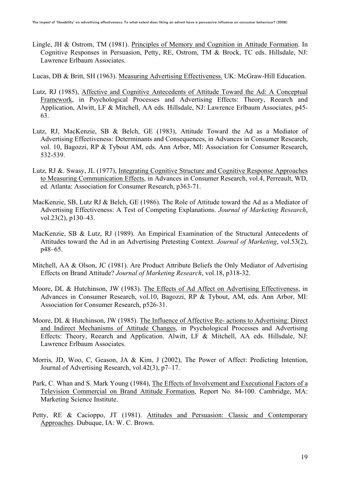Lingle, JH & Ostrom, TM (1981). Principles of Memory and Cognition in Attitude Formation. In Cognitive Responses in Persuasion, Petty, RE, Ostrom, TM & Brock, TC eds. Hillsdale, NJ: Lawrence Erlbaum Associates.

Lucas, DB & Britt, SH (1963). Measuring Advertising Effectiveness. UK: McGraw-Hill Education.

- Lutz, RJ (1985), Affective and Cognitive Antecedents of Attitude Toward the Ad: A Conceptual Framework, in Psychological Processes and Advertising Effects: Theory, Reearch and Application, Alwitt, LF & Mitchell, AA eds. Hillsdale, NJ: Lawrence Erlbaum Associates, p45- 63.
- Lutz, RJ, MacKenzie, SB & Belch, GE (1983), Attitude Toward the Ad as a Mediator of Advertising Effectiveness: Determinants and Consequences, in Advances in Consumer Research, vol. 10, Bagozzi, RP & Tybout AM, eds. Ann Arbor, MI: Association for Consumer Research, 532-539.
- Lutz, RJ &. Swasy, JL (1977), Integrating Cognitive Structure and Cognitive Response Approaches to Measuring Communication Effects, in Advances in Consumer Research, vol.4, Perreault, WD, ed. Atlanta: Association for Consumer Research, p363-71.
- MacKenzie, SB, Lutz RJ & Belch, GE (1986). The Role of Attitude toward the Ad as a Mediator of Advertising Effectiveness: A Test of Competing Explanations. *Journal of Marketing Research*, vol.23(2), p130–43.
- MacKenzie, SB & Lutz, RJ (1989). An Empirical Examination of the Structural Antecedents of Attitudes toward the Ad in an Advertising Pretesting Context. *Journal of Marketing*, vol.53(2), p48–65.
- Mitchell, AA & Olson, JC (1981). Are Product Attribute Beliefs the Only Mediator of Advertising Effects on Brand Attitude? *Journal of Marketing Research*, vol.18, p318-32.
- Moore, DL & Hutchinson, JW (1983). The Effects of Ad Affect on Advertising Effectiveness, in Advances in Consumer Research, vol.10, Bagozzi, RP & Tybout, AM, eds. Ann Arbor, MI: Association for Consumer Research, p526-31.
- Moore, DL & Hutchinson, JW (1985). The Influence of Affective Re- actions to Advertising: Direct and Indirect Mechanisms of Attitude Changes, in Psychological Processes and Advertising Effects: Theory, Reearch and Application. Alwitt, LF & Mitchell, AA eds. Hillsdale, NJ: Lawrence Erlbaum Associates.
- Morris, JD, Woo, C, Geason, JA & Kim, J (2002), The Power of Affect: Predicting Intention, Journal of Advertising Research, vol.42(3), p7–17.
- Park, C. Whan and S. Mark Young (1984), The Effects of Involvement and Executional Factors of a Television Commercial on Brand Attitude Formation, Report No. 84-100. Cambridge, MA: Marketing Science Institute.
- Petty, RE & Cacioppo, JT (1981). Attitudes and Persuasion: Classic and Contemporary Approaches. Dubuque, IA: W. C. Brown.